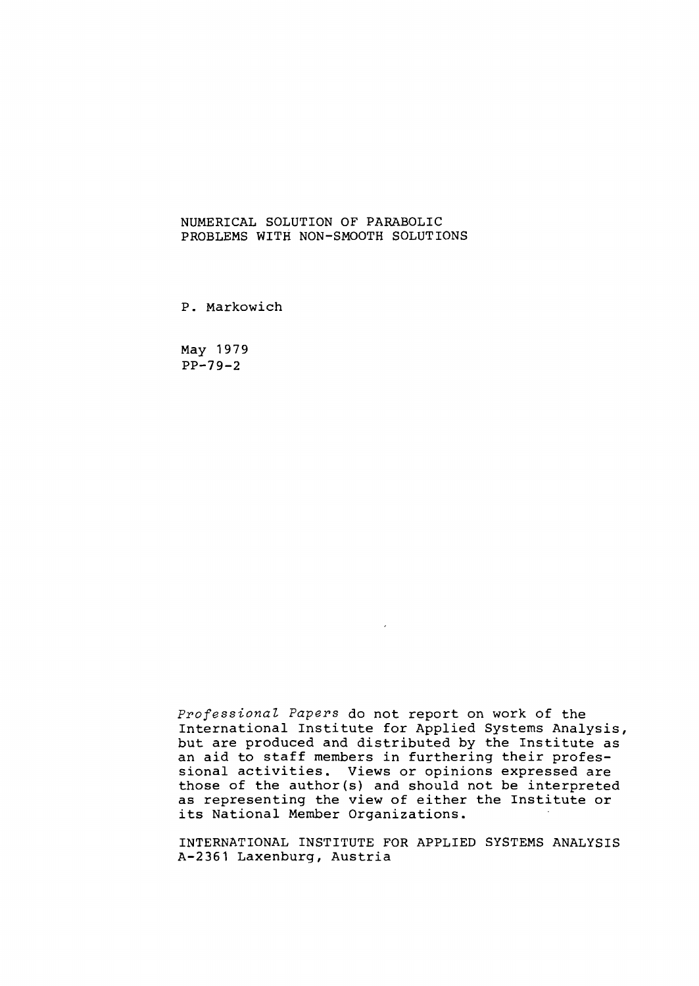## NUMERICAL SOLUTION OF PARABOLIC PROBLEMS WITH NON-SMOOTH SOLUTIONS

P. Markowich

May 1979 PP-79-2

*Professional Papers* do not report on work of the International Institute for Applied Systems Analysis, but are produced and distributed by the Institute as an aid to staff members in furthering their professional activities. Views or opinions expressed are those of the author(s) and should not be interpreted as representing the view of either the Institute or its National Member Organizations.

INTERNATIONAL INSTITUTE FOR APPLIED SYSTEMS ANALYSIS A-2361 Laxenburg, Austria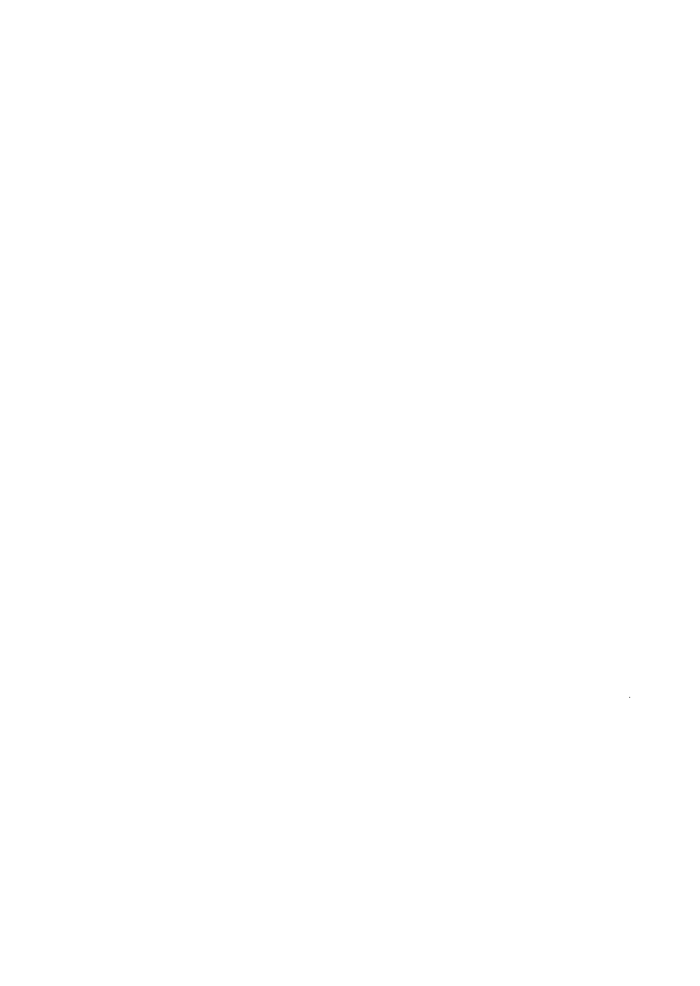$\sim 10^{-1}$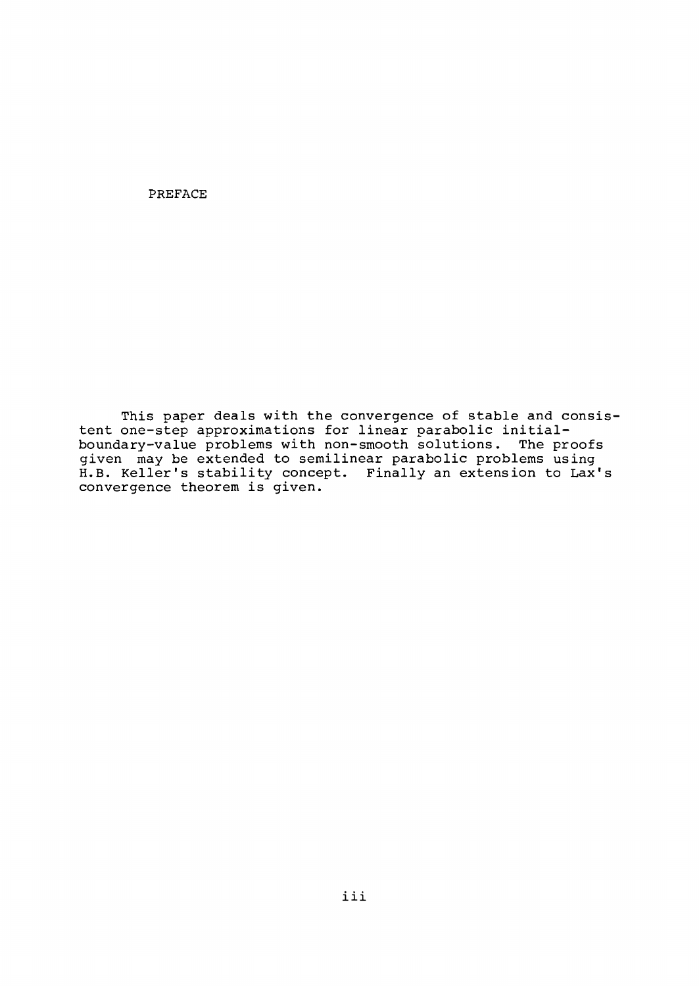PREFACE

This paper deals with the convergence of stable and consistent one-step approximations for linear parabolic initialboundary-value problems with non-smooth solutions. The proofs given may be extended to semilinear parabolic problems using H.B. Keller's stability concept. Finally an extension to Lax's nist neffer s seasific, conce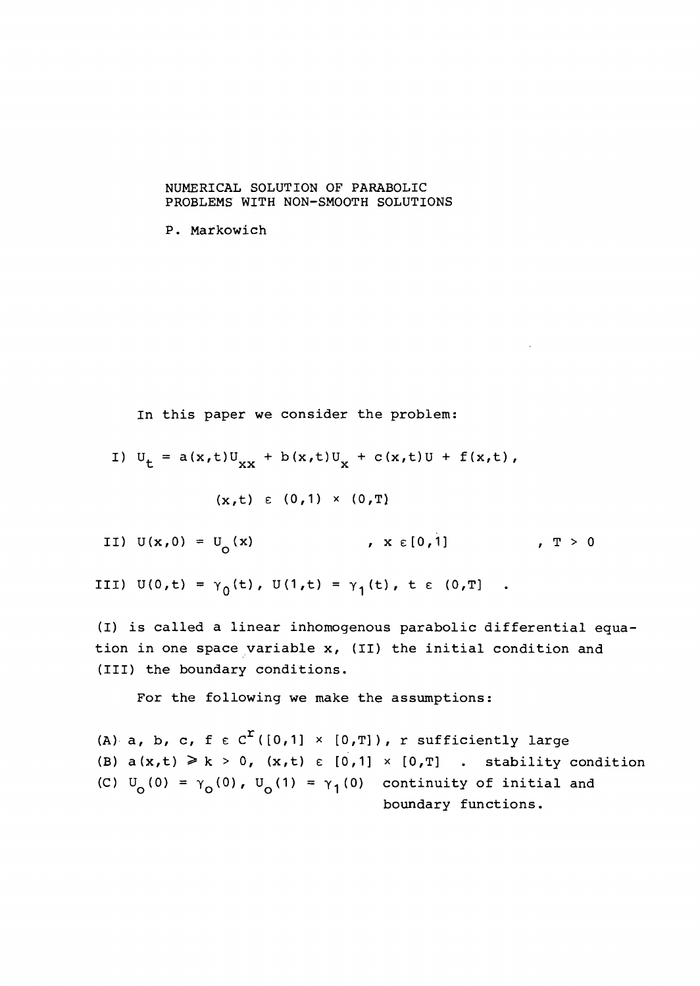## NUMERICAL SOLUTION OF PARABOLIC PROBLEMS WITH NON-SMOOTH SOLUTIONS

P. Markowich

In this paper we consider the problem:

I) 
$$
U_t = a(x,t)U_{xx} + b(x,t)U_x + c(x,t)U + f(x,t)
$$
,

 $(x,t) \in (0,1) \times (0,T)$ 

II) 
$$
U(x,0) = U_0(x)
$$
,  $x \in [0,1]$ ,  $T > 0$ 

III)  $U(0,t) = \gamma_0(t)$ ,  $U(1,t) = \gamma_1(t)$ ,  $t \in (0,T]$ .

(I) is called <sup>a</sup> linear inhomogenous parabolic differential equation in one space variable  $x$ , (II) the initial condition and (III) the boundary conditions.

For the following we make the assumptions:

(A) a, b, c, f  $\epsilon$   $C^{r}([0,1] \times [0,T])$ , r sufficiently large (B)  $a(x,t) \ge k > 0$ ,  $(x,t) \in [0,1] \times [0,T]$  . stability condition (C)  $U_0(0) = \gamma_0(0)$ ,  $U_0(1) = \gamma_1(0)$  continuity of initial and boundary functions.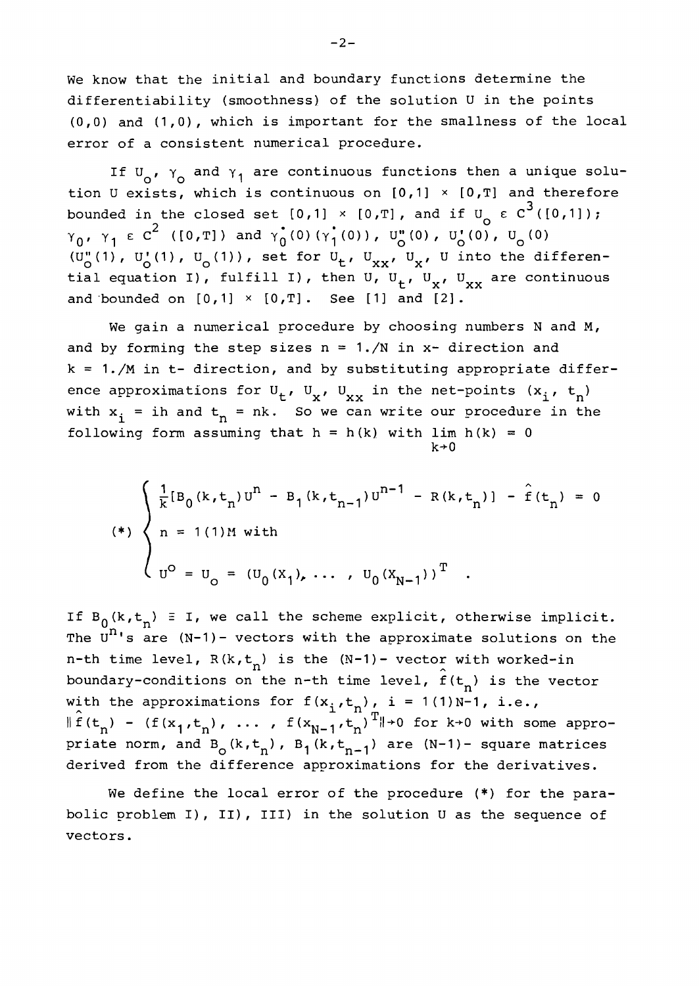We know that the initial and boundary functions determine the differentiability (smoothness) of the solution <sup>U</sup> in the points (0,0) and (1,0), which is important for the smallness of the local error of a consistent numerical procedure.

If  $U_0$ ,  $Y_0$  and  $Y_1$  are continuous functions then a unique solution U exists, which is continuous on  $[0,1] \times [0,T]$  and therefore bounded in the closed set  $[0,1] \times [0,T]$ , and if  $U_0 \in C^3([0,1])$ ;  $\gamma_0$ ,  $\gamma_1$   $\epsilon$  C<sup>2</sup> ([0,T]) and  $\gamma_0^*(0)$ ( $\gamma_1^*(0)$ ), U<sub>O</sub>(0), U<sub>O</sub>(0), U<sub>O</sub>(0) (U<sup>"</sup> (1), U<sub>0</sub>(1), U<sub>0</sub>(1)), set for U<sub>t</sub>, U<sub>XX</sub>, U<sub>X</sub>, U into the differential equation I), fulfill I), then  $\overline{U}$ ,  $\overline{U}_t$ ,  $\overline{U}_x$ ,  $\overline{U}_{xx}$  are continuous and bounded on  $[0,1] \times [0,T]$ . See  $[1]$  and  $[2]$ .

We gain a numerical procedure by choosing numbers N and M, and by forming the step sizes  $n = 1$ ./N in x- direction and  $k = 1.$  /M in t- direction, and by substituting appropriate difference approximations for  $U_t$ ,  $U_x$ ,  $U_{xx}$  in the net-points  $(x_i, t_n)$ with  $x_{\textbf{i}}$  = ih and  $t_{\textbf{n}}$  = nk. So we can write our procedure in the following form assuming that  $h = h(k)$  with lim  $h(k) = 0$  $k+n$ 

$$
(*)\begin{cases} \frac{1}{k} [B_0(k, t_n) u^n - B_1(k, t_{n-1}) u^{n-1} - R(k, t_n)] - \hat{f}(t_n) = 0\\ n = 1 \text{ (1)M with} \\ u^0 = u_0 = (U_0(X_1), \dots, U_0(X_{N-1}))^T. \end{cases}
$$

If  $B_0(k, t_n) = I$ , we call the scheme explicit, otherwise implicit. The  $\overline{U}^{n}$ 's are (N-1)- vectors with the approximate solutions on the n-th time level,  $R(k, t_n)$  is the  $(N-1)$  - vector with worked-in boundary-conditions on the n-th time level,  $f(t_n)$  is the vector with the approximations for  $f(x_i, t_n)$ , i = 1(1)N-1, i.e.,  $\|\hat{f}(t_n) - (f(x_1, t_n), \dots, f(x_{N-1}, t_n)^\top \|$ +0 for k+0 with some appropriate norm, and  $B_0(k, t_n)$ ,  $B_1(k, t_{n-1})$  are  $(N-1)$  - square matrices derived from the difference approximations for the derivatives.

We define the local error of the procedure (\*) for the parabolic problem I), II), III) in the solution <sup>U</sup> as the sequence of vectors.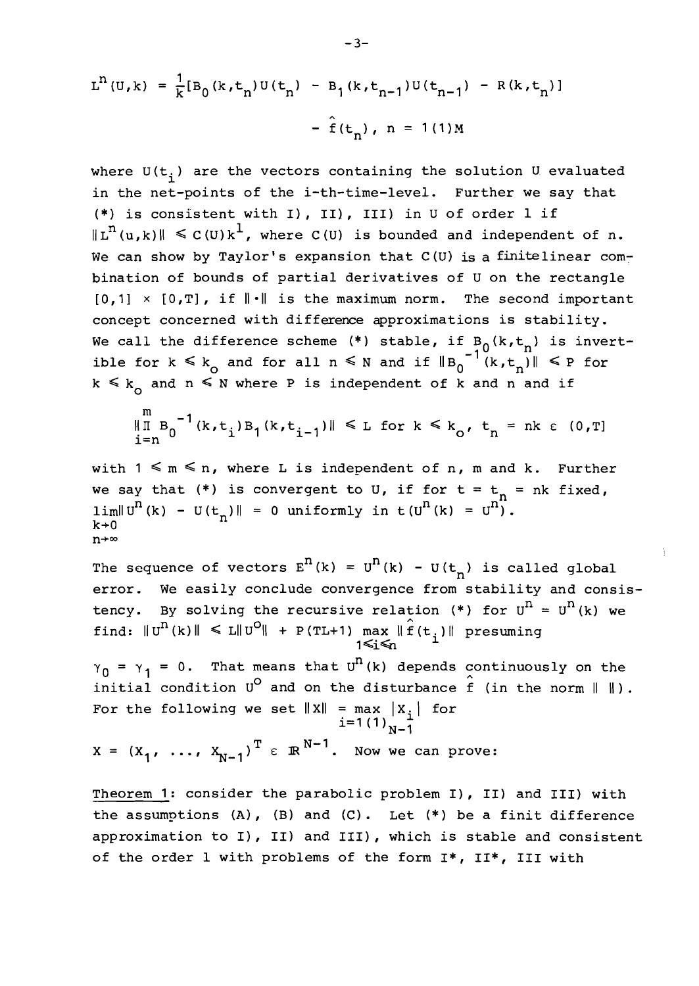$$
L^{n}(U,k) = \frac{1}{k} [B_{0}(k, t_{n})U(t_{n}) - B_{1}(k, t_{n-1})U(t_{n-1}) - R(k, t_{n})]
$$

$$
- \hat{f}(t_{n}), n = 1(1)M
$$

where  $U(t_i)$  are the vectors containing the solution U evaluated in the net-points of the i-th-time-Ievel. Further we say that (\*) is consistent with I), II), III) in <sup>U</sup> of order <sup>I</sup> if  $\|\mathbf{L}^{n}(\mathbf{u},\mathbf{k})\| \leq C(\mathbf{U})\mathbf{k}^{1}$ , where C(U) is bounded and independent of n. We can show by Taylor's expansion that  $C(U)$  is a finitelinear combination of bounds of partial derivatives of <sup>U</sup> on the rectangle  $[0,1] \times [0,T]$ , if  $\|\cdot\|$  is the maximum norm. The second important concept concerned with difference approximations is stability. We call the difference scheme (\*) stable, if  $B_0(k, t_n)$  is invertible for  $k \leq k_0$  and for all  $n \leq N$  and if  $\|B_0^{-1} (k, t_n)\| \leq P$  for  $k \leq k_{\text{o}}$  and  $n \leq N$  where P is independent of  $k$  and  $n$  and if

$$
\|\mathbf{u}\|_{\mathbf{u}=\mathbf{h}}^{1}(\mathbf{k},\mathbf{t}_{i})\mathbf{B}_{1}(\mathbf{k},\mathbf{t}_{i-1})\| \leq \mathbf{L} \text{ for } \mathbf{k} \leq \mathbf{k}_{0}, \mathbf{t}_{n} = \mathbf{h} \in (0,T]
$$

with  $1 \leq m \leq n$ , where L is independent of n, m and k. Further we say that (\*) is convergent to U, if for  $t = t_n = nk$  fixed,  $\lim_{m \to \infty} \left| \mathbf{u}^n(k) - \mathbf{U}(t_n) \right| = 0$  uniformly in  $\mathbf{t}(\mathbf{U}^n(k) = \mathbf{U}^n)$ .  $k+0$ n+oo

The sequence of vectors  $E^{n}(k) = U^{n}(k) - U(t_{n})$  is called global error. We easily conclude convergence from stability and consistency. By solving the recursive relation  $(*)$  for  $U^{n} = U^{n}(k)$  we find:  $\|U^{n}(k)\| \le L \|U^{0}\| + P(TL+1) \max_{1 \le i \le n} \|\hat{f}(t_{i})\|$  presuming  $Y_0 = Y_1 = 0$ . That means that  $U^n(k)$  depends continuously on the initial condition  $U^O$  and on the disturbance  $\hat{f}$  (in the norm  $\|\ \|$ ). For the following we set  $\|x\| = \max |x_i|$  for  $i=1(1)<sub>N-1</sub>$ 

÷

 $X = (X_1, \ldots, X_{N-1})^T \in \mathbb{R}^{N-1}$ . Now we can prove:

Theorem 1: consider the parabolic problem I), II) and III) with the assumptions (A), (B) and (C). Let (\*) be <sup>a</sup> finit difference approximation to I), II) and III), which is stable and consistent of the order <sup>I</sup> with problems of the form 1\*, 11\*, III with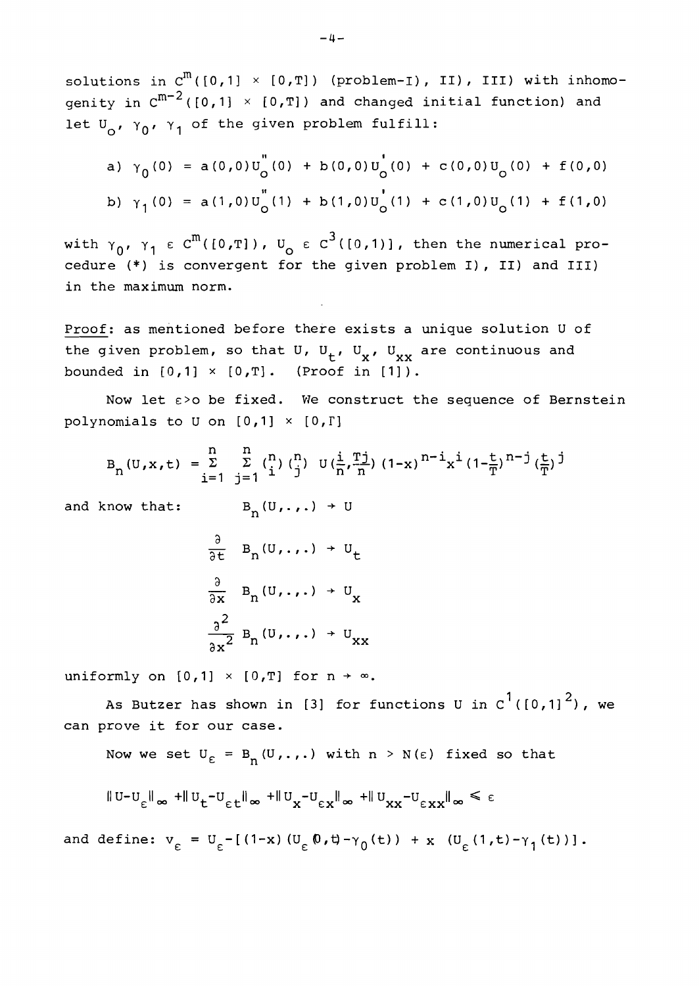solutions in  $\texttt{C}^{\texttt{m}}(\texttt{[0,1]} \ \times \ \texttt{[0,T]})$  (problem-I), II), III) with inhomogenity in  $C^{m-2}([0,1] \times [0,T])$  and changed initial function) and let  $U_0'$ ,  $Y_0'$ ,  $Y_1$  of the given problem fulfill:  $\binom{m}{0,1}$  × [0,T]) (problem-I), II), III<br>
([0,1] × [0,T]) and changed initial fu<br>
of the given problem fulfill:<br>
= a(0,0)U<sub>0</sub><sup>'</sup>(0) + b(0,0)U<sub>0</sub><sup>'</sup>(0) + c(0,0)U<sub>0</sub><br>
= a(1,0)U<sub>0</sub><sup>''</sup>(1) + b(1,0)U<sub>0</sub>'(1) + c(1,0)U<sub>0</sub>

a) 
$$
\gamma_0(0) = a(0,0)U_0^{"}(0) + b(0,0)U_0^{'}(0) + c(0,0)U_0(0) + f(0,0)
$$
  
b)  $\gamma_1(0) = a(1,0)U_0^{"}(1) + b(1,0)U_0^{'}(1) + c(1,0)U_0(1) + f(1,0)$ 

with  $\gamma_0^{}$ ,  $\gamma_1^{}$   $\epsilon$   $\texttt{C}^{\texttt{m}}(\texttt{[0,T]})$ ,  $\texttt{U}^{}_{\texttt{O}}$   $\epsilon$   $\texttt{C}^{\texttt{3}}(\texttt{[0,1)})$ , then the numerical procedure (\*) is convergent for the given problem I), II) and III) in the maximum norm.

Proof: as mentioned before there exists <sup>a</sup> unique solution <sup>U</sup> of the given problem, so that U, U<sub>t</sub>, U<sub>x</sub>, U<sub>xx</sub> are continuous and bounded in  $[0,1] \times [0,T]$ . (Proof in  $[1]$ ).

Now let  $\varepsilon$ >o be fixed. We construct the sequence of Bernstein polynomials to U on  $[0,1] \times [0,\Gamma]$ 

$$
B_{n}(U, x, t) = \sum_{i=1}^{n} \sum_{j=1}^{n} {n \choose i} {n \choose j} U(\frac{i}{n}, \frac{Tj}{n}) (1-x)^{n-i} x^{i} (1-\frac{t}{T})^{n-j} (\frac{t}{T})^{j}
$$

and know that:  $B_{n}(U,\ldots) \rightarrow U$ 

$$
\frac{\partial}{\partial t} B_n(0,...) + U_t
$$
  

$$
\frac{\partial}{\partial x} B_n(0,...) + U_x
$$
  

$$
\frac{\partial^2}{\partial x^2} B_n(0,...) + U_{xx}
$$

uniformly on  $[0,1] \times [0,T]$  for  $n \to \infty$ .

As Butzer has shown in [3] for functions U in  $c^1$  ([0,1]<sup>2</sup>), we can prove it for our case.

Now we set  $U_{\varepsilon} = B_{n}(U, \ldots)$  with  $n > N(\varepsilon)$  fixed so that

$$
\|U-U_{\varepsilon}\|_{\infty} + \|U_{\varepsilon}U_{\varepsilon}U_{\varepsilon}\|_{\infty} + \|U_{X}U_{\varepsilon}U_{\varepsilon}||_{\infty} + \|U_{XX}U_{\varepsilon}U_{\varepsilon}||_{\infty} \leq \varepsilon
$$

and define:  $v_{\varepsilon} = U_{\varepsilon} - [(1-x) (U_{\varepsilon} \cdot 0, t) - \gamma_0(t)) + x (U_{\varepsilon} (1, t) - \gamma_1(t))]$ .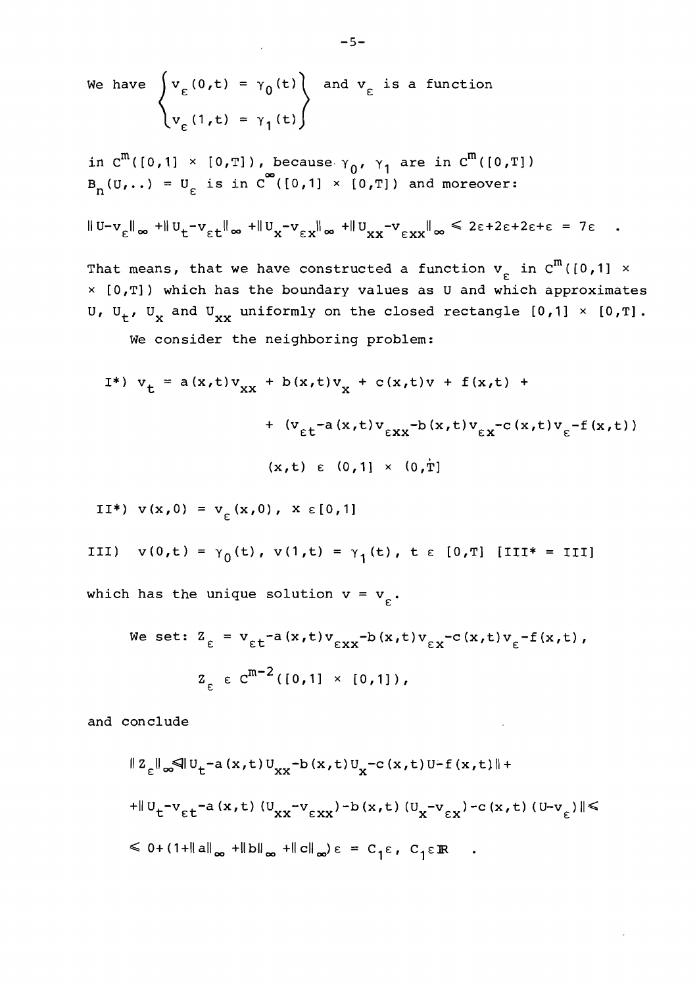We have 
$$
\begin{cases} v_{\varepsilon}(0,t) = \gamma_0(t) \\ v_{\varepsilon}(1,t) = \gamma_1(t) \end{cases}
$$
 and  $v_{\varepsilon}$  is a function

in 
$$
C^m([0,1] \times [0,T])
$$
, because  $\gamma_0$ ,  $\gamma_1$  are in  $C^m([0,T])$   $B_n(U,.) = U_{\varepsilon}$  is in  $C^{\infty}([0,1] \times [0,T])$  and moreover:

$$
\|\mathbf{U}-\mathbf{v}_{\varepsilon}\|_{\infty} + \|\mathbf{U}_{\varepsilon}-\mathbf{v}_{\varepsilon}\mathbf{t}\|_{\infty} + \|\mathbf{U}_{\mathbf{X}}-\mathbf{v}_{\varepsilon\mathbf{X}}\|_{\infty} + \|\mathbf{U}_{\mathbf{XX}}-\mathbf{v}_{\varepsilon\mathbf{XX}}\|_{\infty} \leq 2\varepsilon + 2\varepsilon + 2\varepsilon + \varepsilon = 7\varepsilon
$$

That means, that we have constructed a function  $v_{\varepsilon}$  in  $c^{m}([0,1] \times$ x [0,T]) which has the boundary values as U and which approximates U, U<sub>t</sub>, U<sub>x</sub> and U<sub>xx</sub> uniformly on the closed rectangle [0,1] × [0,T].

We consider the neighboring problem:

I\*) 
$$
v_t = a(x,t)v_{xx} + b(x,t)v_x + c(x,t)v + f(x,t) +
$$
  
+  $(v_{\epsilon t} - a(x,t)v_{\epsilon xx} - b(x,t)v_{\epsilon x} - c(x,t)v_{\epsilon} - f(x,t))$   
(x,t)  $\epsilon$  (0,1] × (0,\r{r}]

II\*) 
$$
v(x, 0) = v_c(x, 0)
$$
,  $x \in [0, 1]$ 

III) 
$$
v(0,t) = \gamma_0(t), v(1,t) = \gamma_1(t), t \in [0,T]
$$
 [III\* = III]

which has the unique solution  $v = v_{\varepsilon}$ .

We set: 
$$
Z_{\epsilon} = v_{\epsilon t} - a(x, t)v_{\epsilon xx} - b(x, t)v_{\epsilon x} - c(x, t)v_{\epsilon} - f(x, t)
$$
,  
 $Z_{\epsilon} \epsilon c^{m-2}([0, 1] \times [0, 1])$ ,

and conclude

$$
\|Z_{\varepsilon}\|_{\infty} \leq \|U_{\varepsilon} - a(x,t)U_{XX} - b(x,t)U_{X} - c(x,t)U - f(x,t)\| +
$$
  
+
$$
\|U_{\varepsilon} - v_{\varepsilon t} - a(x,t) (U_{XX} - v_{\varepsilon XX}) - b(x,t) (U_{X} - v_{\varepsilon X}) - c(x,t) (U - v_{\varepsilon})\| \leq
$$
  

$$
\leq 0 + (1 + \|a\|_{\infty} + \|b\|_{\infty} + \|c\|_{\infty}) \varepsilon = C_{1} \varepsilon, C_{1} \varepsilon \mathbb{R}.
$$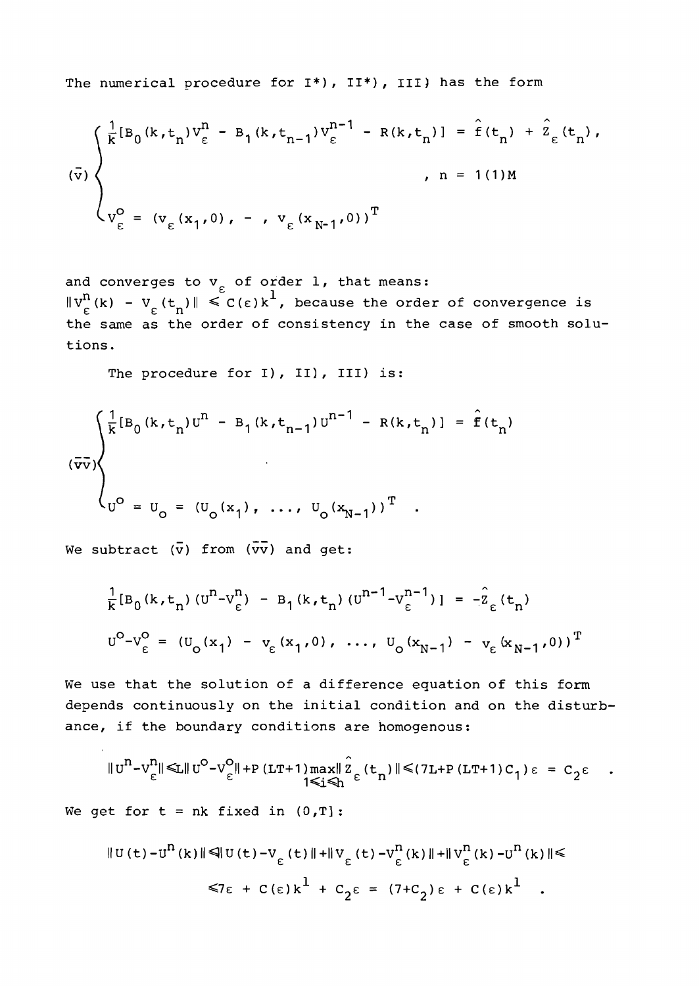The numerical procedure for  $I^*$ ),  $II^*$ ),  $III$ } has the form

$$
\left\{\n\begin{aligned}\n\frac{1}{k} [B_0(k, t_n) v_{\varepsilon}^n - B_1(k, t_{n-1}) v_{\varepsilon}^{n-1} - R(k, t_n)] &= \hat{f}(t_n) + \hat{z}_{\varepsilon}(t_n), \\
\frac{1}{k} [B_0(k, t_n) v_{\varepsilon}^n - B_1(k, t_{n-1}) v_{\varepsilon}^{n-1} - R(k, t_n)] &= \hat{f}(t_n) + \hat{z}_{\varepsilon}(t_n).\n\end{aligned}\n\right.
$$

and converges to  $v_{\varepsilon}$  of order 1, that means:<br> $||v_{\varepsilon}^{n}(k) - v_{\varepsilon}(t_{n})|| \leq C(\varepsilon) k^{1}$ , because the order of convergence is the same as the order of consistency in the case of smooth solutions.

The procedure for I), II), III) is:

$$
\left(\frac{1}{\sqrt{\pi}}\left[B_0(k, t_n)\right]^{n-1} - B_1(k, t_{n-1})^{n-1} - R(k, t_n)\right] = \hat{f}(t_n)
$$
\n
$$
\left(\frac{1}{\sqrt{\pi}}\right) \begin{cases} \frac{1}{k} \left[B_0(k, t_n)\right]^{n-1} - B_1(k, t_{n-1})^{n-1} - R(k, t_n)\right] & \text{if } t_n \text{ is a constant.} \\ \frac{1}{k} \left[B_0(k, t_n)\right]^{n-1} - B_1(k, t_{n-1})^{n-1} & \text{if } t_n \text{ is a constant.} \end{cases}
$$

We subtract  $(\overline{v})$  from  $(\overline{vv})$  and get:

$$
\frac{1}{k} [B_0(k, t_n) (U^{n} - V_{\epsilon}^{n}) - B_1(k, t_n) (U^{n-1} - V_{\epsilon}^{n-1})] = -2 \epsilon (t_n)
$$
  

$$
U^{0} - V_{\epsilon}^{0} = (U_{0}(x_1) - V_{\epsilon}(x_1, 0), \dots, U_{0}(x_{N-1}) - V_{\epsilon}(x_{N-1}, 0))^{T}
$$

We use that the solution of <sup>a</sup> difference equation of this form depends continuously on the initial condition and on the disturbance, if the boundary conditions are homogenous:

$$
\| \textbf{u}^n - \textbf{v}^n_{\varepsilon} \| \leqslant_{\textbf{L}} \| \textbf{u}^o - \textbf{v}^o_{\varepsilon} \| + \textbf{P} \left( \textbf{L} \textbf{T} + 1 \right) \underset{1 \leqslant i \leqslant h}{\text{max}} \| \hat{\textbf{z}}_{\varepsilon} \left( \textbf{t}_n \right) \| \leqslant (7 \textbf{L} + \textbf{P} \left( \textbf{L} \textbf{T} + 1 \right) \textbf{C}_1) \, \varepsilon \ = \ \textbf{C}_2 \, \varepsilon \quad \, .
$$

We get for  $t = nk$  fixed in  $(0, T)$ :

$$
\|U(t) - U^{n}(k)\| \le \|U(t) - V_{\varepsilon}(t)\| + \|V_{\varepsilon}(t) - V^{n}(\kappa)\| + \|V^{n}(\kappa) - U^{n}(k)\| \le
$$
  

$$
\le 7\varepsilon + C(\varepsilon)k^{1} + C_{2}\varepsilon = (7+C_{2})\varepsilon + C(\varepsilon)k^{1}.
$$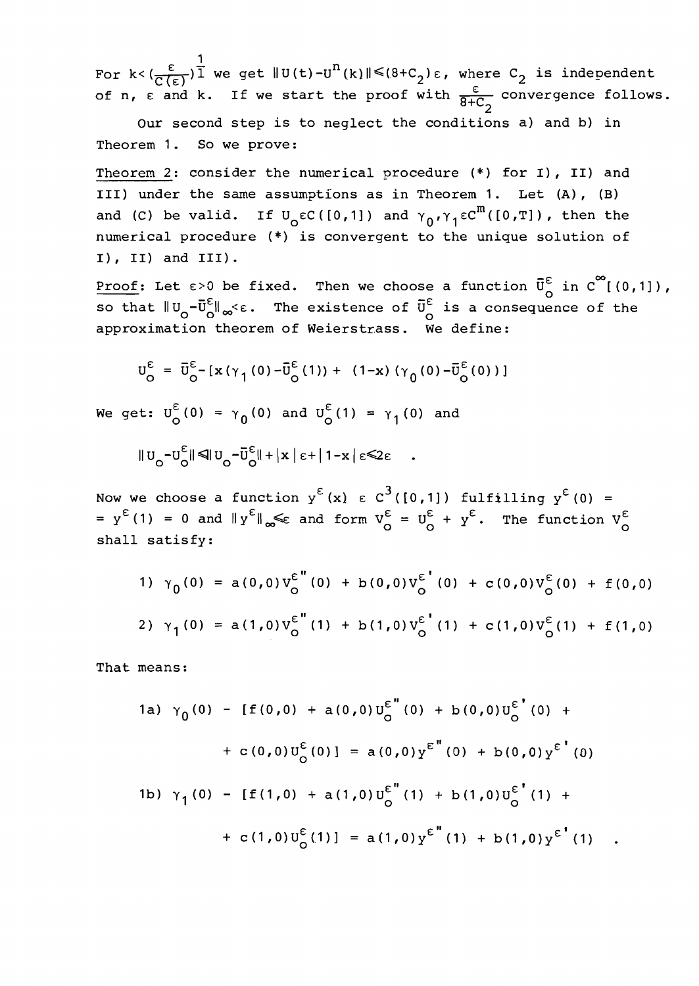For k<  $(\frac{\varepsilon}{C(\varepsilon)})^{\tfrac{1}{1}}$  we get  $\|U(t)-U^{\textrm{n}}(k)\|{\leqslant}(8+C_{2})\,\varepsilon$ , where  $C_{2}$  is independent of n,  $\epsilon$  and k. If we start the proof with  $\frac{\epsilon}{8+C}$  convergence follows.

2 Our second step is to neglect the conditions a) and b) in Theorem 1. So we prove:

Theorem 2: consider the numerical procedure (\*) for I), II) and III) under the same assumptions as in Theorem 1. Let (A), (B) and (C) be valid. If  $\upsilon^{-}_\textrm{o}$   $\epsilon$ C([0,1]) and  $\gamma^{-}_\textrm{o}$   $\gamma^{-}_\textrm{1}$   $\epsilon$ C $^{\textrm{m}}$ ([0,T]), then the numerical procedure (\*) is convergent to the unique solution of I), II) and III). and (C) be valid. If  $U_0 \epsilon C([0,1])$  and  $Y_0$ <br>numerical procedure (\*) is convergent to<br>I), II) and III).<br>Proof: Let  $\epsilon > 0$  be fixed. Then we choose<br>so that  $||U_0 - \bar{U}_0^{\epsilon}||_{\infty} < \epsilon$ . The existence of  $\bar{U}_0^{\epsilon}$ <br>approxi

 $Proof: Let  $\epsilon > 0$  be fixed. Then we choose$ </u>  $\leq$  E. The existence of  $\vec{\mathrm{U}}_{\alpha}^{\mathrm{E}}$ approximation theorem of Weierstrass. We a function  $\bar{U}^{\epsilon}_{\rm o}$  in<br>is a consequence define:  $C^{\infty}$ [(0,1]), of the

$$
\mathbf{U}_{\text{O}}^{\varepsilon} = \overline{\mathbf{U}}_{\text{O}}^{\varepsilon} - [\mathbf{x} (\gamma_1(0) - \overline{\mathbf{U}}_{\text{O}}^{\varepsilon}(1)) + (1 - \mathbf{x}) (\gamma_0(0) - \overline{\mathbf{U}}_{\text{O}}^{\varepsilon}(0))]
$$

We get:  $U_{O}^{E}(0) = \gamma_{0}(0)$  and  $U_{O}^{E}(1) = \gamma_{1}(0)$  and

$$
\|U_{O} - U_{O}^{\epsilon}\| \leq \|U_{O} - \overline{U}_{O}^{\epsilon}\| + \|x\| \epsilon + |1 - x| \epsilon \leq 2\epsilon
$$

Now we choose a<br>=  $y^{\in}$  (1) = 0 and shall satisfy: function  $y^{\epsilon}(x) \epsilon C^{3}([0,1])$  fulfilling  $y^{\epsilon}(0)$  =  $\|y^{\epsilon}\|_{\infty}$  and form  $V_{\mathsf{O}}^{\epsilon}$  =  $U_{\mathsf{O}}^{\epsilon}$  +  $y^{\epsilon}$ . The function  $V_{\mathsf{C}}^{\epsilon}$ 

e choose a function 
$$
y^{\epsilon}(x) \epsilon C^{3}([0,1])
$$
 fulfilling  $y^{\epsilon}(0) = 1$   
\n1) = 0 and  $||y^{\epsilon}||_{\infty} \le \epsilon$  and form  $V_{0}^{\epsilon} = U_{0}^{\epsilon} + y^{\epsilon}$ . The function  $V_{0}^{\epsilon}$   
\nsatisfy:  
\n1)  $\gamma_{0}(0) = a(0,0)V_{0}^{\epsilon^{n}}(0) + b(0,0)V_{0}^{\epsilon^{n}}(0) + c(0,0)V_{0}^{\epsilon}(0) + f(0,0)$   
\n2)  $\gamma_{1}(0) = a(1,0)V_{0}^{\epsilon^{n}}(1) + b(1,0)V_{0}^{\epsilon^{n}}(1) + c(1,0)V_{0}^{\epsilon}(1) + f(1,0)$ 

That means:

1a) 
$$
\gamma_0(0) - [f(0,0) + a(0,0)U_0^{\epsilon''}(0) + b(0,0)U_0^{\epsilon''}(0) ++ c(0,0)U_0^{\epsilon}(0)] = a(0,0)Y^{\epsilon''}(0) + b(0,0)Y^{\epsilon'}(0)
$$
  
\n1b)  $\gamma_1(0) - [f(1,0) + a(1,0)U_0^{\epsilon''}(1) + b(1,0)U_0^{\epsilon''}(1) ++ c(1,0)U_0^{\epsilon}(1)] = a(1,0)Y^{\epsilon''}(1) + b(1,0)Y^{\epsilon''}(1)$ .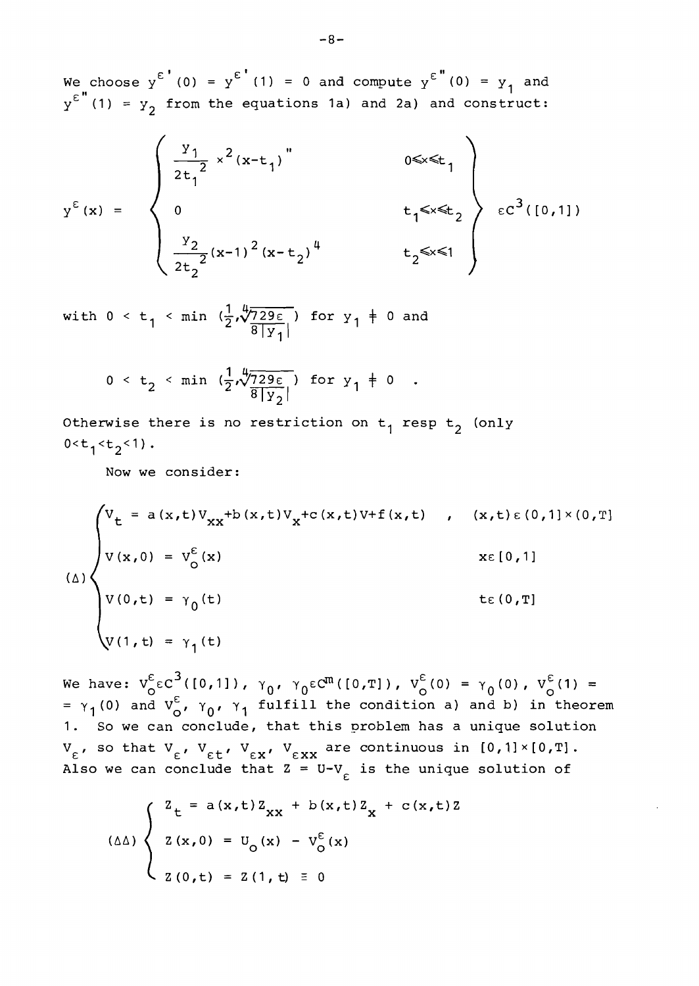We choose  $y^{\epsilon'}$  (0) =  $y^{\epsilon'}$  (1) = 0 and compute  $y^{\epsilon''}(0)$  =  $y_1$  and  ${\bf y}^{\epsilon}$  (1) =  ${\bf y_2}$  from the equations 1a) and 2a) and construct:

$$
y^{\epsilon}(x) = \begin{cases} \frac{y_1}{2t_1^2} \times^2 (x-t_1)^{n} & 0 \le x \le t_1 \\ 0 & t_1 \le x \le t_2 \\ \frac{y_2}{2t_2^2} (x-1)^2 (x-t_2)^{n} & t_2 \le x \le 1 \end{cases} \epsilon c^3([0,1])
$$

with  $0 < t_1 < \min \ (\frac{1}{2} \sqrt{\frac{4}{295}})$  for  $y_1 \neq 0$  and  $8|Y_1|$ 

$$
0 < t_2 < min \left( \frac{1}{2} \sqrt[4]{\frac{729 \epsilon}{8|y_2|}} \right)
$$
 for  $y_1 \neq 0$ 

Otherwise there is no restriction on  $t_1$  resp  $t_2$  (only  $0 < t_1 < t_2 < 1$ ).

Now we consider:

$$
\begin{cases}\nV_{t} = a(x, t) V_{xx} + b(x, t) V_{x} + c(x, t) V + f(x, t) & , & (x, t) \in (0, 1] \times (0, T] \\
V(x, 0) = V_{0}^{E}(x) & x \in [0, 1] \\
V(0, t) = \gamma_{0}(t) & t \in (0, T] \\
V(1, t) = \gamma_{1}(t)\n\end{cases}
$$

We have:  $V_{Q}^{\epsilon} \epsilon C^{3}([0,1])$ ,  $\gamma_{0}$ ,  $\gamma_{0} \epsilon C^{m}([0,T])$ ,  $V_{Q}^{\epsilon}(0) = \gamma_{0}(0)$ ,  $V_{Q}^{\epsilon}(1) =$ <br>=  $\gamma_{1}(0)$  and  $V_{Q}^{\epsilon}$ ,  $\gamma_{0}$ ,  $\gamma_{1}$  fulfill the condition a) and b) in theorem 1. So we can conclude, that this problem has <sup>a</sup> unique solution  $V_{\varepsilon}$ , so that  $V_{\varepsilon}$ ,  $V_{\varepsilon t}$ ,  $V_{\varepsilon x}$ ,  $V_{\varepsilon xx}$  are continuous in  $[0,1]\times[0,T]$ . Also we can conclude that  $Z = U - V_{\varepsilon}$  is the unique solution of

$$
(2\Delta) \begin{cases} 2_{t} = a(x, t) Z_{xx} + b(x, t) Z_{x} + c(x, t) Z_{x} \\ Z(x, 0) = U_{0}(x) - V_{0}^{E}(x) \\ Z(0, t) = Z(1, t) = 0 \end{cases}
$$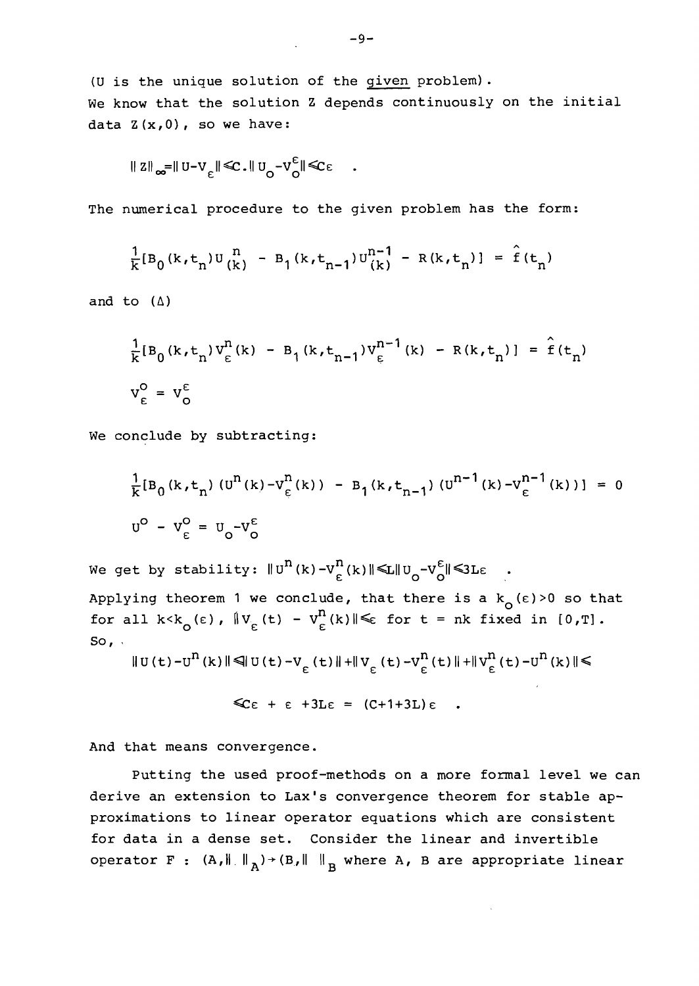(U is the unique solution of the given problem) . We know that the solution Z depends continuously on the initial data  $Z(x,0)$ , so we have:

$$
\|z\|_{\infty} = \|U - V_{\varepsilon}\| \ll 1. \quad \|U_{\varepsilon} - V_{\varepsilon}^{\varepsilon}\| \ll \varepsilon
$$

The numerical procedure to the given problem has the form:

$$
\frac{1}{k} [B_0(k, t_n) u_{(k)}^{n} - B_1(k, t_{n-1}) u_{(k)}^{n-1} - R(k, t_n)] = \hat{f}(t_n)
$$

and to  $(\Delta)$ 

$$
\frac{1}{k} [B_0 (k, t_n) v_E^n (k) - B_1 (k, t_{n-1}) v_E^{n-1} (k) - R(k, t_n)] = \hat{f}(t_n)
$$
  

$$
v_E^0 = v_O^E
$$

We conclude by subtracting:

$$
\frac{1}{k} [B_0(k, t_n) (U^n(k) - V_{\epsilon}^n(k)) - B_1(k, t_{n-1}) (U^{n-1}(k) - V_{\epsilon}^{n-1}(k)) ] = 0
$$
  

$$
U^0 - V_{\epsilon}^0 = U_0 - V_0^{\epsilon}
$$

We get by stability:  $\|U^n(k)-V_{\epsilon}^n(k)\|\leq 1\|U_o-V_o^{\epsilon}\|\leq 3L\varepsilon$ 

Applying theorem 1 we conclude, that there is a  $k^-(\epsilon) > 0$  so that for all  $k < k_0(\epsilon)$ ,  $\|v_{\epsilon}(t) - v_{\epsilon}^{n}(k)\| \leqslant$  for  $t = nk$  fixed in  $[0, T]$ . So, ,

$$
\|U(t) - U^{n}(k)\| \leq 0 \quad \text{if} \quad U(t) - V_{\varepsilon}(t) + \|V_{\varepsilon}(t) - V^{n}_{\varepsilon}(t)\| + \|V^{n}_{\varepsilon}(t) - U^{n}(k)\| \leq 0
$$

$$
\mathcal{L}\varepsilon + \varepsilon + 3L\varepsilon = (C + 1 + 3L)\varepsilon
$$

And that means convergence.

Putting the used proof-methods on a more formal level we can derive an extension to Lax's convergence theorem for stable approximations to linear operator equations which are consistent for data in a dense set. Consider the linear and invertible operator F :  $(A, \| \| A) \rightarrow (B, \| \| \| B)$  where A, B are appropriate linear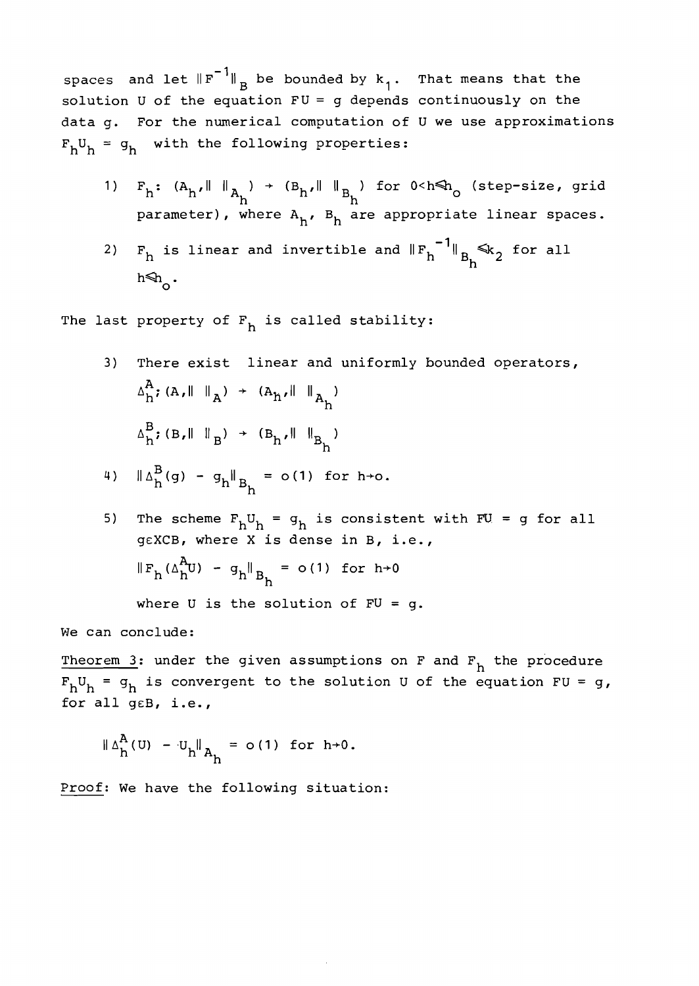spaces and let  $\mathbb{F}^{-1} \mathbb{I}_{\mathcal{B}}$  be bounded by  $\texttt{k}_1.$  That means that the solution U of the equation FU = g depends continuously on the data g. For the numerical computation of U we use approximations  $F_hU_h = g_h$  with the following properties:

- 1)  $F_h: (A_h, \| \|_{A_h}) \to (B_h, \| \|_{B_h})$  for  $0 < h \Leftrightarrow h_0$  (step-size, grid parameter), where  $A_h$ ,  $B_h$  are appropriate linear spaces.
- 2)  $F_h$  is linear and invertible and  $\|F_h^{-1}\|_{B_h^{\phantom{A}}\leqslant k_{2}}$  for all  $h \mathcal{L}_o$ .

The last property of  $F_h$  is called stability:

3) There exist linear and uniformly bounded operators,  $\Delta_h^A$ ; (A,  $\|\cdot\|_A$ ) + (A<sub>h</sub>,  $\|\cdot\|_{A_h}$ )  $\Delta_h^B$ ; (B, || || <sub>B</sub>) + (B<sub>h</sub>, || || <sub>B<sub>h</sub>)</sub>

4) 
$$
\|\Delta_h^B(g) - g_h\|_{B_h} = o(1)
$$
 for h $\to o$ .

5) The scheme  $F_hU_h = g_h$  is consistent with FU = g for all gEXCB, where <sup>X</sup> is dense in B, i.e.,  $\left\| \mathbf{F_h}(\Delta_h^{\mathbf{A}} \mathbf{U}) - \mathbf{g_h} \right\|_{\mathbf{B}} = o(1)$  for h+0 h

where U is the solution of  $FU = g$ .

We can conclude:

Theorem 3: under the given assumptions on F and  $F_h$  the procedure  $F_hU_h = g_h$  is convergent to the solution U of the equation FU = g, for all g $\epsilon$ B, i.e.,

$$
\|\Delta_{h}^{A}(U) - U_{h}\|_{A_{h}} = o(1) \text{ for } h \to 0.
$$

Proof: We have the following situation: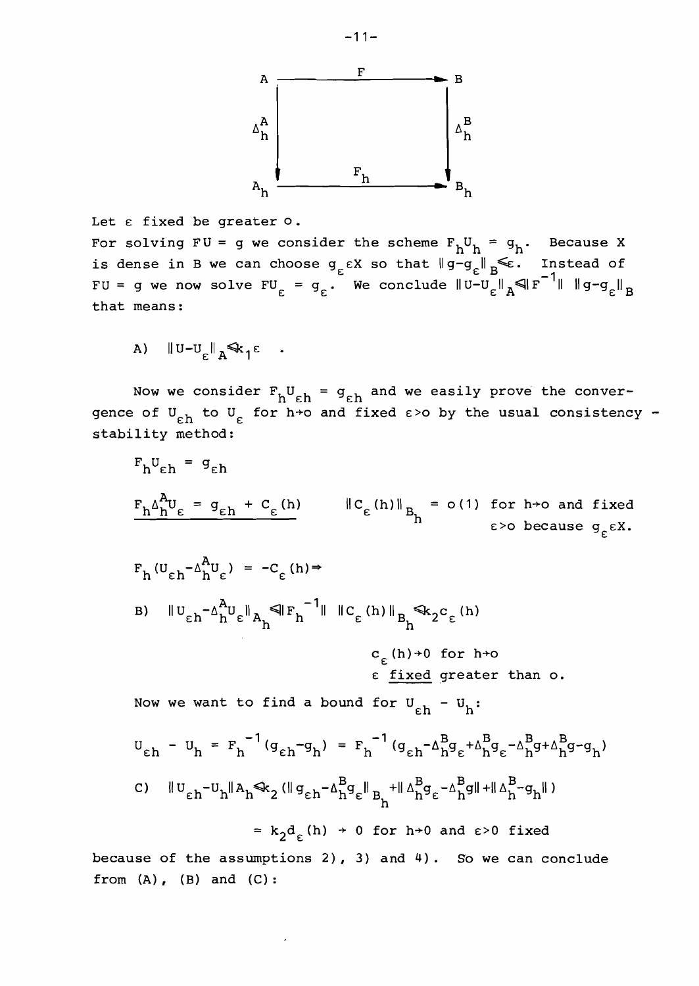

Let  $\varepsilon$  fixed be greater  $0$ . For solving FU = g we consider the scheme  $F_hU_h = g_h$ . Because X is dense in B we can choose  $g_{\epsilon} \in X$  so that  $\|g - g_{\epsilon}\|_{B} \leq \epsilon$ . Instead of FU = g we now solve FU<sub>E</sub> = g<sub>E</sub>. We conclude  $\|U - U_{\epsilon}\|_{A} \leq \|F^{-1}\| \|g - g_{\epsilon}\|_{B}$ that means:

A)  $\|U-U_{\varepsilon}\|_{A} \leq 1\varepsilon$ .

Now we consider  $F_hU_{\epsilon h} = g_{\epsilon h}$  and we easily prove the convergence of  $U_{\epsilon h}$  to  $U_{\epsilon}$  for h+o and fixed  $\epsilon$ >o by the usual consistency stability method:

$$
F_h U_{\epsilon h} = g_{\epsilon h}
$$
  
\n
$$
F_h \Delta_h^{\mathbf{A}} U_{\epsilon} = g_{\epsilon h} + C_{\epsilon} (h)
$$
  
\n
$$
\|C_{\epsilon} (h)\|_{B_h} = o(1) \text{ for } h \to o \text{ and fixed}
$$
  
\n
$$
\epsilon > o \text{ because } g_{\epsilon} \in X.
$$

$$
F_h (U_{\epsilon h} - \Delta_h^A U_{\epsilon}) = -C_{\epsilon} (h) \Rightarrow
$$
  
\nB) 
$$
||U_{\epsilon h} - \Delta_h^A U_{\epsilon}||_{A_h} \le ||V_{\epsilon h} - \Delta_h^A U_{\epsilon}||_{A_h} \le ||V_{\epsilon h} - \Delta_h^A U_{\epsilon}||_{A_h} \le ||V_{\epsilon h} - \Delta_h^A U_{\epsilon}||_{A_h} \le ||V_{\epsilon h} - \Delta_h^A U_{\epsilon}||_{A_h} \le ||V_{\epsilon h} - \Delta_h^A U_{\epsilon}||_{A_h} \le ||V_{\epsilon h} - \Delta_h^A U_{\epsilon}||_{A_h} \le ||V_{\epsilon h} - \Delta_h^A U_{\epsilon}||_{A_h} \le ||V_{\epsilon h} - \Delta_h^A U_{\epsilon}||_{A_h}
$$

Now we want to find a bound for  $U_{\epsilon h} - U_{h}$ :

$$
U_{\epsilon h} - U_{h} = F_{h}^{-1} (g_{\epsilon h} - g_{h}) = F_{h}^{-1} (g_{\epsilon h} - \Delta_{h}^{B} g_{\epsilon} + \Delta_{h}^{B} g_{\epsilon} - \Delta_{h}^{B} g + \Delta_{h}^{B} g - g_{h})
$$
  
\nC) 
$$
\|U_{\epsilon h} - U_{h}\| A_{h} \ll 2 (\|g_{\epsilon h} - \Delta_{h}^{B} g_{\epsilon}\|_{B_{h}} + \|\Delta_{h}^{B} g_{\epsilon} - \Delta_{h}^{B} g\| + \|\Delta_{h}^{B} - g_{h}\|)
$$

$$
= k_{2} d_{\epsilon}(h) \to 0 \text{ for } h \to 0 \text{ and } \epsilon > 0 \text{ fixed}
$$

because of the assumptions 2), 3) and 4). So we can conclude from  $(A)$ ,  $(B)$  and  $(C)$ :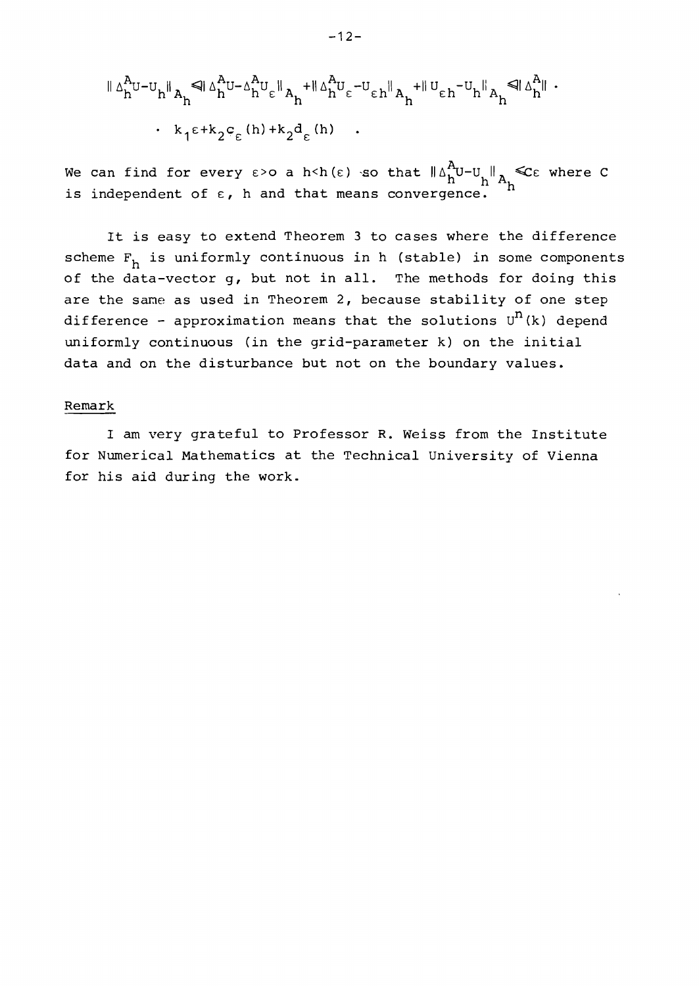$$
\begin{array}{cccccccccc} \|\Delta_h^A\textbf{U}-\textbf{U}_h\|_{A_h}\triangleleft\|\Delta_h^A\textbf{U}-\Delta_h^A\textbf{U}_\epsilon\|_{A_h}+\|\Delta_h^A\textbf{U}_\epsilon-\textbf{U}_\epsilon\|_{A_h}+\|\textbf{U}_\epsilon\|^{-1}\textbf{U}_h\|_{A_h}\triangleleft\|\Delta_h^A\|\\&\cdot&\cdot&\cdot&\cdot&\cdot&\cdot\end{array}
$$

We can find for every  $\varepsilon >$ o a h<h( $\varepsilon$ ) so that  $\left\| \vartriangle_{\mathbf{h}}^{\mathbf{A}} \mathbb{U} - \mathbb{U}_{\mathbf{h}} \right\|_{\mathbf{A}}$   $\leqslant$ c $\varepsilon$  where C h h is independent of  $\varepsilon$ , h and that means convergence.

It is easy to extend Theorem <sup>3</sup> to cases where the difference scheme  $F_h$  is uniformly continuous in h (stable) in some components of the data-vector g, but not in all. The methods for doing this are the sane as used in Theorem 2, because stability of one step difference - approximation means that the solutions  $U^{n}(k)$  depend uniformly continuous (in the grid-parameter k) on the initial data and on the disturbance but not on the boundary values.

## Remark

<sup>I</sup> am very grateful to Professor R. Weiss from the Institute for Numerical Mathematics at the Technical University of Vienna for his aid during the work.